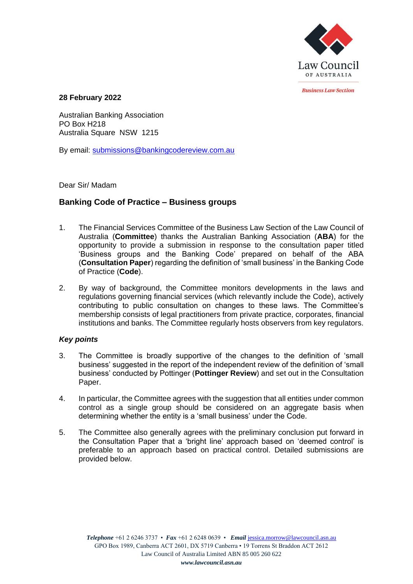

*<u>Rusiness Law Section</u>* 

**28 February 2022**

Australian Banking Association PO Box H218 Australia Square NSW 1215

By email: [submissions@bankingcodereview.com.au](mailto:submissions@bankingcodereview.com.au)

Dear Sir/ Madam

# **Banking Code of Practice – Business groups**

- 1. The Financial Services Committee of the Business Law Section of the Law Council of Australia (**Committee**) thanks the Australian Banking Association (**ABA**) for the opportunity to provide a submission in response to the consultation paper titled 'Business groups and the Banking Code' prepared on behalf of the ABA (**Consultation Paper**) regarding the definition of 'small business' in the Banking Code of Practice (**Code**).
- 2. By way of background, the Committee monitors developments in the laws and regulations governing financial services (which relevantly include the Code), actively contributing to public consultation on changes to these laws. The Committee's membership consists of legal practitioners from private practice, corporates, financial institutions and banks. The Committee regularly hosts observers from key regulators.

# *Key points*

- 3. The Committee is broadly supportive of the changes to the definition of 'small business' suggested in the report of the independent review of the definition of 'small business' conducted by Pottinger (**Pottinger Review**) and set out in the Consultation Paper.
- 4. In particular, the Committee agrees with the suggestion that all entities under common control as a single group should be considered on an aggregate basis when determining whether the entity is a 'small business' under the Code.
- 5. The Committee also generally agrees with the preliminary conclusion put forward in the Consultation Paper that a 'bright line' approach based on 'deemed control' is preferable to an approach based on practical control. Detailed submissions are provided below.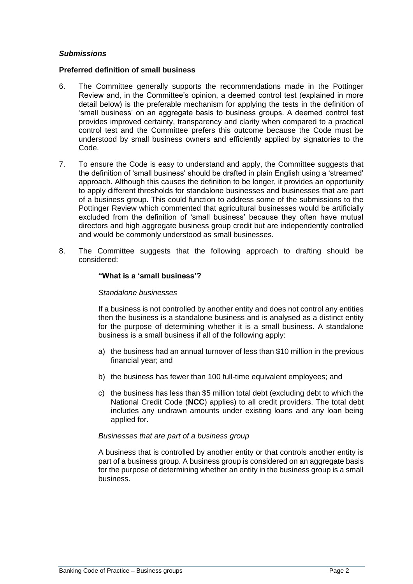# *Submissions*

# **Preferred definition of small business**

- 6. The Committee generally supports the recommendations made in the Pottinger Review and, in the Committee's opinion, a deemed control test (explained in more detail below) is the preferable mechanism for applying the tests in the definition of 'small business' on an aggregate basis to business groups. A deemed control test provides improved certainty, transparency and clarity when compared to a practical control test and the Committee prefers this outcome because the Code must be understood by small business owners and efficiently applied by signatories to the Code.
- 7. To ensure the Code is easy to understand and apply, the Committee suggests that the definition of 'small business' should be drafted in plain English using a 'streamed' approach. Although this causes the definition to be longer, it provides an opportunity to apply different thresholds for standalone businesses and businesses that are part of a business group. This could function to address some of the submissions to the Pottinger Review which commented that agricultural businesses would be artificially excluded from the definition of 'small business' because they often have mutual directors and high aggregate business group credit but are independently controlled and would be commonly understood as small businesses.
- 8. The Committee suggests that the following approach to drafting should be considered:

## **"What is a 'small business'?**

#### *Standalone businesses*

If a business is not controlled by another entity and does not control any entities then the business is a standalone business and is analysed as a distinct entity for the purpose of determining whether it is a small business. A standalone business is a small business if all of the following apply:

- a) the business had an annual turnover of less than \$10 million in the previous financial year; and
- b) the business has fewer than 100 full-time equivalent employees; and
- c) the business has less than \$5 million total debt (excluding debt to which the National Credit Code (**NCC**) applies) to all credit providers. The total debt includes any undrawn amounts under existing loans and any loan being applied for.

# *Businesses that are part of a business group*

A business that is controlled by another entity or that controls another entity is part of a business group. A business group is considered on an aggregate basis for the purpose of determining whether an entity in the business group is a small business.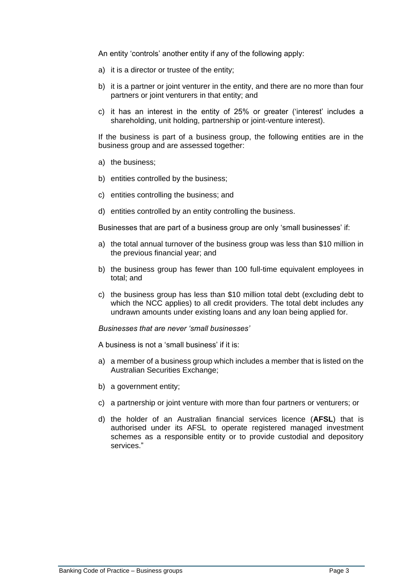An entity 'controls' another entity if any of the following apply:

- a) it is a director or trustee of the entity;
- b) it is a partner or joint venturer in the entity, and there are no more than four partners or joint venturers in that entity; and
- c) it has an interest in the entity of 25% or greater ('interest' includes a shareholding, unit holding, partnership or joint-venture interest).

If the business is part of a business group, the following entities are in the business group and are assessed together:

- a) the business;
- b) entities controlled by the business;
- c) entities controlling the business; and
- d) entities controlled by an entity controlling the business.

Businesses that are part of a business group are only 'small businesses' if:

- a) the total annual turnover of the business group was less than \$10 million in the previous financial year; and
- b) the business group has fewer than 100 full-time equivalent employees in total; and
- c) the business group has less than \$10 million total debt (excluding debt to which the NCC applies) to all credit providers. The total debt includes any undrawn amounts under existing loans and any loan being applied for.

#### *Businesses that are never 'small businesses'*

A business is not a 'small business' if it is:

- a) a member of a business group which includes a member that is listed on the Australian Securities Exchange;
- b) a government entity;
- c) a partnership or joint venture with more than four partners or venturers; or
- d) the holder of an Australian financial services licence (**AFSL**) that is authorised under its AFSL to operate registered managed investment schemes as a responsible entity or to provide custodial and depository services."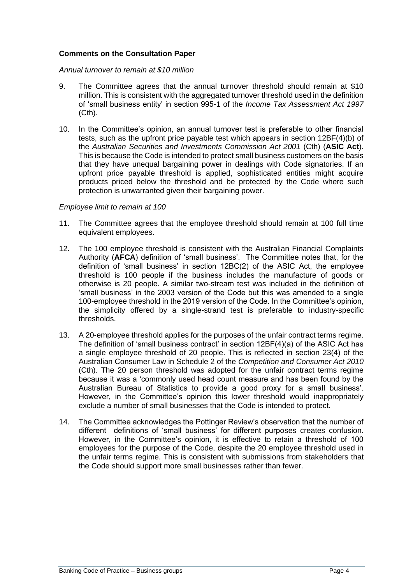# **Comments on the Consultation Paper**

#### *Annual turnover to remain at \$10 million*

- 9. The Committee agrees that the annual turnover threshold should remain at \$10 million. This is consistent with the aggregated turnover threshold used in the definition of 'small business entity' in section 995-1 of the *Income Tax Assessment Act 1997* (Cth).
- 10. In the Committee's opinion, an annual turnover test is preferable to other financial tests, such as the upfront price payable test which appears in section 12BF(4)(b) of the *Australian Securities and Investments Commission Act 2001* (Cth) (**ASIC Act**). This is because the Code is intended to protect small business customers on the basis that they have unequal bargaining power in dealings with Code signatories. If an upfront price payable threshold is applied, sophisticated entities might acquire products priced below the threshold and be protected by the Code where such protection is unwarranted given their bargaining power.

## *Employee limit to remain at 100*

- 11. The Committee agrees that the employee threshold should remain at 100 full time equivalent employees.
- 12. The 100 employee threshold is consistent with the Australian Financial Complaints Authority (**AFCA**) definition of 'small business'. The Committee notes that, for the definition of 'small business' in section 12BC(2) of the ASIC Act, the employee threshold is 100 people if the business includes the manufacture of goods or otherwise is 20 people. A similar two-stream test was included in the definition of 'small business' in the 2003 version of the Code but this was amended to a single 100-employee threshold in the 2019 version of the Code. In the Committee's opinion, the simplicity offered by a single-strand test is preferable to industry-specific thresholds.
- 13. A 20-employee threshold applies for the purposes of the unfair contract terms regime. The definition of 'small business contract' in section 12BF(4)(a) of the ASIC Act has a single employee threshold of 20 people. This is reflected in section 23(4) of the Australian Consumer Law in Schedule 2 of the *Competition and Consumer Act 2010* (Cth). The 20 person threshold was adopted for the unfair contract terms regime because it was a 'commonly used head count measure and has been found by the Australian Bureau of Statistics to provide a good proxy for a small business'. However, in the Committee's opinion this lower threshold would inappropriately exclude a number of small businesses that the Code is intended to protect.
- 14. The Committee acknowledges the Pottinger Review's observation that the number of different definitions of 'small business' for different purposes creates confusion. However, in the Committee's opinion, it is effective to retain a threshold of 100 employees for the purpose of the Code, despite the 20 employee threshold used in the unfair terms regime. This is consistent with submissions from stakeholders that the Code should support more small businesses rather than fewer.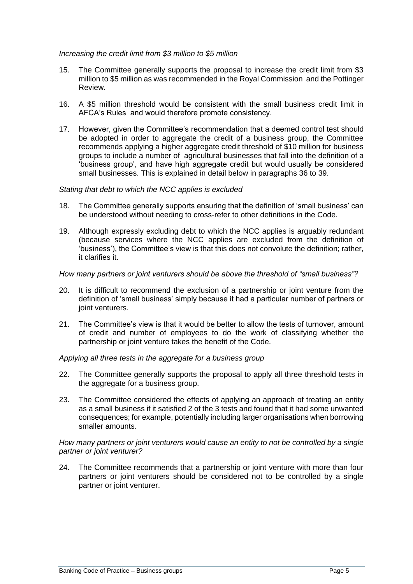## *Increasing the credit limit from \$3 million to \$5 million*

- 15. The Committee generally supports the proposal to increase the credit limit from \$3 million to \$5 million as was recommended in the Royal Commission and the Pottinger Review.
- 16. A \$5 million threshold would be consistent with the small business credit limit in AFCA's Rules and would therefore promote consistency.
- 17. However, given the Committee's recommendation that a deemed control test should be adopted in order to aggregate the credit of a business group, the Committee recommends applying a higher aggregate credit threshold of \$10 million for business groups to include a number of agricultural businesses that fall into the definition of a 'business group', and have high aggregate credit but would usually be considered small businesses. This is explained in detail below in paragraphs [36](#page-6-0) to [39.](#page-6-1)

## *Stating that debt to which the NCC applies is excluded*

- 18. The Committee generally supports ensuring that the definition of 'small business' can be understood without needing to cross-refer to other definitions in the Code.
- 19. Although expressly excluding debt to which the NCC applies is arguably redundant (because services where the NCC applies are excluded from the definition of 'business'), the Committee's view is that this does not convolute the definition; rather, it clarifies it.

# *How many partners or joint venturers should be above the threshold of "small business"?*

- 20. It is difficult to recommend the exclusion of a partnership or joint venture from the definition of 'small business' simply because it had a particular number of partners or joint venturers.
- 21. The Committee's view is that it would be better to allow the tests of turnover, amount of credit and number of employees to do the work of classifying whether the partnership or joint venture takes the benefit of the Code.

# *Applying all three tests in the aggregate for a business group*

- 22. The Committee generally supports the proposal to apply all three threshold tests in the aggregate for a business group.
- 23. The Committee considered the effects of applying an approach of treating an entity as a small business if it satisfied 2 of the 3 tests and found that it had some unwanted consequences; for example, potentially including larger organisations when borrowing smaller amounts.

## *How many partners or joint venturers would cause an entity to not be controlled by a single partner or joint venturer?*

<span id="page-4-0"></span>24. The Committee recommends that a partnership or joint venture with more than four partners or joint venturers should be considered not to be controlled by a single partner or joint venturer.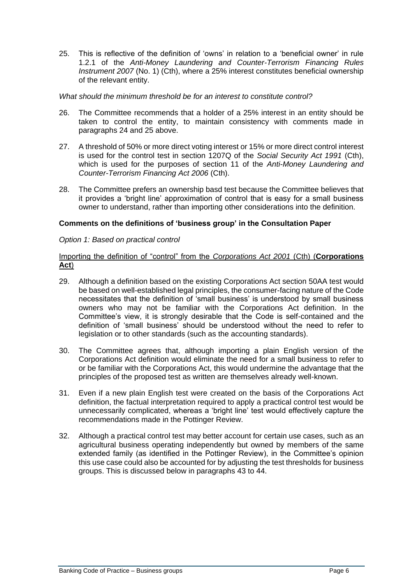<span id="page-5-0"></span>25. This is reflective of the definition of 'owns' in relation to a 'beneficial owner' in rule 1.2.1 of the *Anti-Money Laundering and Counter-Terrorism Financing Rules Instrument 2007* (No. 1) (Cth), where a 25% interest constitutes beneficial ownership of the relevant entity.

## *What should the minimum threshold be for an interest to constitute control?*

- 26. The Committee recommends that a holder of a 25% interest in an entity should be taken to control the entity, to maintain consistency with comments made in paragraphs [24](#page-4-0) and [25](#page-5-0) above.
- 27. A threshold of 50% or more direct voting interest or 15% or more direct control interest is used for the control test in section 1207Q of the *Social Security Act 1991* (Cth), which is used for the purposes of section 11 of the *Anti-Money Laundering and Counter-Terrorism Financing Act 2006* (Cth).
- 28. The Committee prefers an ownership basd test because the Committee believes that it provides a 'bright line' approximation of control that is easy for a small business owner to understand, rather than importing other considerations into the definition.

## **Comments on the definitions of 'business group' in the Consultation Paper**

## *Option 1: Based on practical control*

# Importing the definition of "control" from the *Corporations Act 2001* (Cth) (**Corporations Act**)

- 29. Although a definition based on the existing Corporations Act section 50AA test would be based on well-established legal principles, the consumer-facing nature of the Code necessitates that the definition of 'small business' is understood by small business owners who may not be familiar with the Corporations Act definition. In the Committee's view, it is strongly desirable that the Code is self-contained and the definition of 'small business' should be understood without the need to refer to legislation or to other standards (such as the accounting standards).
- 30. The Committee agrees that, although importing a plain English version of the Corporations Act definition would eliminate the need for a small business to refer to or be familiar with the Corporations Act, this would undermine the advantage that the principles of the proposed test as written are themselves already well-known.
- 31. Even if a new plain English test were created on the basis of the Corporations Act definition, the factual interpretation required to apply a practical control test would be unnecessarily complicated, whereas a 'bright line' test would effectively capture the recommendations made in the Pottinger Review.
- 32. Although a practical control test may better account for certain use cases, such as an agricultural business operating independently but owned by members of the same extended family (as identified in the Pottinger Review), in the Committee's opinion this use case could also be accounted for by adjusting the test thresholds for business groups. This is discussed below in paragraphs [43](#page-7-0) to [44.](#page-7-1)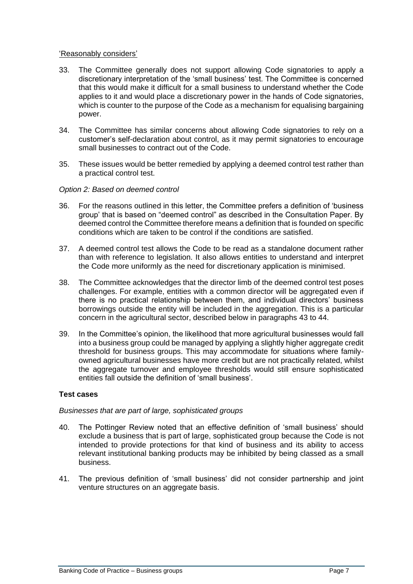# 'Reasonably considers'

- 33. The Committee generally does not support allowing Code signatories to apply a discretionary interpretation of the 'small business' test. The Committee is concerned that this would make it difficult for a small business to understand whether the Code applies to it and would place a discretionary power in the hands of Code signatories, which is counter to the purpose of the Code as a mechanism for equalising bargaining power.
- 34. The Committee has similar concerns about allowing Code signatories to rely on a customer's self-declaration about control, as it may permit signatories to encourage small businesses to contract out of the Code.
- 35. These issues would be better remedied by applying a deemed control test rather than a practical control test.

## *Option 2: Based on deemed control*

- <span id="page-6-0"></span>36. For the reasons outlined in this letter, the Committee prefers a definition of 'business group' that is based on "deemed control" as described in the Consultation Paper. By deemed control the Committee therefore means a definition that is founded on specific conditions which are taken to be control if the conditions are satisfied.
- 37. A deemed control test allows the Code to be read as a standalone document rather than with reference to legislation. It also allows entities to understand and interpret the Code more uniformly as the need for discretionary application is minimised.
- 38. The Committee acknowledges that the director limb of the deemed control test poses challenges. For example, entities with a common director will be aggregated even if there is no practical relationship between them, and individual directors' business borrowings outside the entity will be included in the aggregation. This is a particular concern in the agricultural sector, described below in paragraphs [43](#page-7-0) to [44.](#page-7-1)
- <span id="page-6-1"></span>39. In the Committee's opinion, the likelihood that more agricultural businesses would fall into a business group could be managed by applying a slightly higher aggregate credit threshold for business groups. This may accommodate for situations where familyowned agricultural businesses have more credit but are not practically related, whilst the aggregate turnover and employee thresholds would still ensure sophisticated entities fall outside the definition of 'small business'.

# **Test cases**

#### *Businesses that are part of large, sophisticated groups*

- 40. The Pottinger Review noted that an effective definition of 'small business' should exclude a business that is part of large, sophisticated group because the Code is not intended to provide protections for that kind of business and its ability to access relevant institutional banking products may be inhibited by being classed as a small business.
- 41. The previous definition of 'small business' did not consider partnership and joint venture structures on an aggregate basis.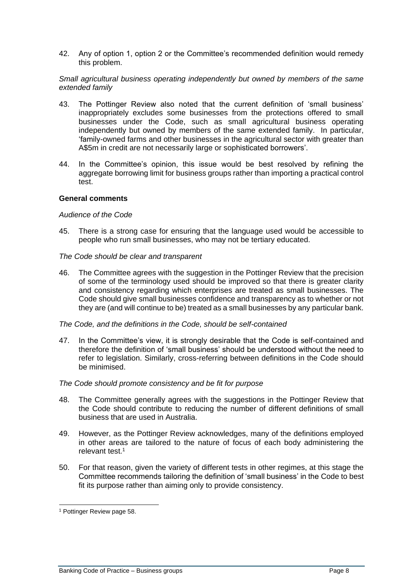42. Any of option 1, option 2 or the Committee's recommended definition would remedy this problem.

## *Small agricultural business operating independently but owned by members of the same extended family*

- <span id="page-7-0"></span>43. The Pottinger Review also noted that the current definition of 'small business' inappropriately excludes some businesses from the protections offered to small businesses under the Code, such as small agricultural business operating independently but owned by members of the same extended family. In particular, 'family-owned farms and other businesses in the agricultural sector with greater than A\$5m in credit are not necessarily large or sophisticated borrowers'.
- <span id="page-7-1"></span>44. In the Committee's opinion, this issue would be best resolved by refining the aggregate borrowing limit for business groups rather than importing a practical control test.

## **General comments**

## *Audience of the Code*

45. There is a strong case for ensuring that the language used would be accessible to people who run small businesses, who may not be tertiary educated.

## *The Code should be clear and transparent*

46. The Committee agrees with the suggestion in the Pottinger Review that the precision of some of the terminology used should be improved so that there is greater clarity and consistency regarding which enterprises are treated as small businesses. The Code should give small businesses confidence and transparency as to whether or not they are (and will continue to be) treated as a small businesses by any particular bank.

#### *The Code, and the definitions in the Code, should be self-contained*

47. In the Committee's view, it is strongly desirable that the Code is self-contained and therefore the definition of 'small business' should be understood without the need to refer to legislation. Similarly, cross-referring between definitions in the Code should be minimised.

#### *The Code should promote consistency and be fit for purpose*

- 48. The Committee generally agrees with the suggestions in the Pottinger Review that the Code should contribute to reducing the number of different definitions of small business that are used in Australia.
- 49. However, as the Pottinger Review acknowledges, many of the definitions employed in other areas are tailored to the nature of focus of each body administering the relevant test.<sup>1</sup>
- 50. For that reason, given the variety of different tests in other regimes, at this stage the Committee recommends tailoring the definition of 'small business' in the Code to best fit its purpose rather than aiming only to provide consistency.

<sup>1</sup> Pottinger Review page 58.